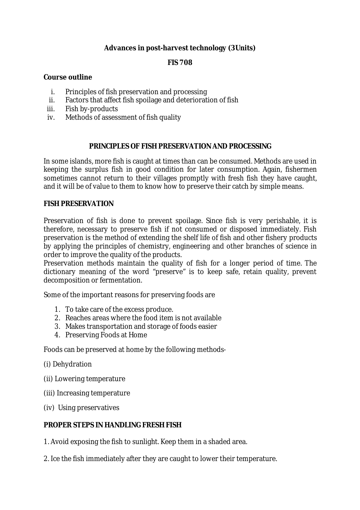## **Advances in post-harvest technology (3Units)**

## **FIS 708**

#### **Course outline**

- i. Principles of fish preservation and processing
- ii. Factors that affect fish spoilage and deterioration of fish
- iii. Fish by-products
- iv. Methods of assessment of fish quality

#### **PRINCIPLES OF FISH PRESERVATION AND PROCESSING**

In some islands, more fish is caught at times than can be consumed. Methods are used in keeping the surplus fish in good condition for later consumption. Again, fishermen sometimes cannot return to their villages promptly with fresh fish they have caught, and it will be of value to them to know how to preserve their catch by simple means.

#### **FISH PRESERVATION**

Preservation of fish is done to prevent spoilage. Since fish is very perishable, it is therefore, necessary to preserve fish if not consumed or disposed immediately. Fish preservation is the method of extending the shelf life of fish and other fishery products by applying the principles of chemistry, engineering and other branches of science in order to improve the quality of the products.

Preservation methods maintain the quality of fish for a longer period of time. The dictionary meaning of the word "preserve" is to keep safe, retain quality, prevent decomposition or fermentation.

Some of the important reasons for preserving foods are

- 1. To take care of the excess produce.
- 2. Reaches areas where the food item is not available
- 3. Makes transportation and storage of foods easier
- 4. Preserving Foods at Home

Foods can be preserved at home by the following methods-

- (i) Dehydration
- (ii) Lowering temperature
- (iii) Increasing temperature
- (iv) Using preservatives

## **PROPER STEPS IN HANDLING FRESH FISH**

1. Avoid exposing the fish to sunlight. Keep them in a shaded area.

2. Ice the fish immediately after they are caught to lower their temperature.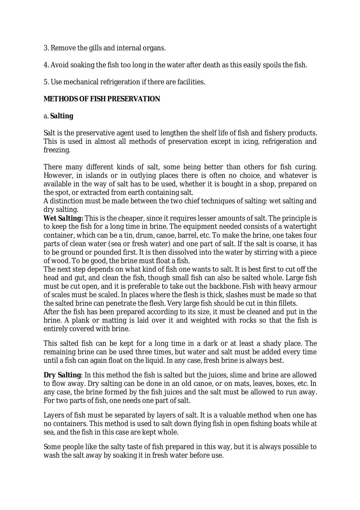- 3. Remove the gills and internal organs.
- 4. Avoid soaking the fish too long in the water after death as this easily spoils the fish.
- 5. Use mechanical refrigeration if there are facilities.

#### **METHODS OF FISH PRESERVATION**

#### a. **Salting**

Salt is the preservative agent used to lengthen the shelf life of fish and fishery products. This is used in almost all methods of preservation except in icing, refrigeration and freezing.

There many different kinds of salt, some being better than others for fish curing. However, in islands or in outlying places there is often no choice, and whatever is available in the way of salt has to be used, whether it is bought in a shop, prepared on the spot, or extracted from earth containing salt.

A distinction must be made between the two chief techniques of salting: wet salting and dry salting.

*Wet Salting:* This is the cheaper, since it requires lesser amounts of salt. The principle is to keep the fish for a long time in brine. The equipment needed consists of a watertight container, which can be a tin, drum, canoe, barrel, etc. To make the brine, one takes four parts of clean water (sea or fresh water) and one part of salt. If the salt is coarse, it has to be ground or pounded first. It is then dissolved into the water by stirring with a piece of wood. To be good, the brine must float a fish.

The next step depends on what kind of fish one wants to salt. It is best first to cut off the head and gut, and clean the fish, though small fish can also be salted whole. Large fish must be cut open, and it is preferable to take out the backbone. Fish with heavy armour of scales must be scaled. In places where the flesh is thick, slashes must be made so that the salted brine can penetrate the flesh. Very large fish should be cut in thin fillets.

After the fish has been prepared according to its size, it must be cleaned and put in the brine. A plank or matting is laid over it and weighted with rocks so that the fish is entirely covered with brine.

This salted fish can be kept for a long time in a dark or at least a shady place. The remaining brine can be used three times, but water and salt must be added every time until a fish can again float on the liquid. In any case, fresh brine is always best.

**Dry Salting**: In this method the fish is salted but the juices, slime and brine are allowed to flow away. Dry salting can be done in an old canoe, or on mats, leaves, boxes, etc. In any case, the brine formed by the fish juices and the salt must be allowed to run away. For two parts of fish, one needs one part of salt.

Layers of fish must be separated by layers of salt. It is a valuable method when one has no containers. This method is used to salt down flying fish in open fishing boats while at sea, and the fish in this case are kept whole.

Some people like the salty taste of fish prepared in this way, but it is always possible to wash the salt away by soaking it in fresh water before use.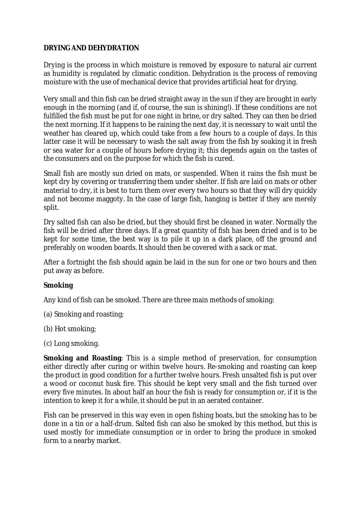#### **DRYING AND DEHYDRATION**

Drying is the process in which moisture is removed by exposure to natural air current as humidity is regulated by climatic condition. Dehydration is the process of removing moisture with the use of mechanical device that provides artificial heat for drying.

Very small and thin fish can be dried straight away in the sun if they are brought in early enough in the morning (and if, of course, the sun is shining!). If these conditions are not fulfilled the fish must be put for one night in brine, or dry salted. They can then be dried the next morning. If it happens to be raining the next day, it is necessary to wait until the weather has cleared up, which could take from a few hours to a couple of days. In this latter case it will be necessary to wash the salt away from the fish by soaking it in fresh or sea water for a couple of hours before drying it; this depends again on the tastes of the consumers and on the purpose for which the fish is cured.

Small fish are mostly sun dried on mats, or suspended. When it rains the fish must be kept dry by covering or transferring them under shelter. If fish are laid on mats or other material to dry, it is best to turn them over every two hours so that they will dry quickly and not become maggoty. In the case of large fish, hanging is better if they are merely split.

Dry salted fish can also be dried, but they should first be cleaned in water. Normally the fish will be dried after three days. If a great quantity of fish has been dried and is to be kept for some time, the best way is to pile it up in a dark place, off the ground and preferably on wooden boards. It should then be covered with a sack or mat.

After a fortnight the fish should again be laid in the sun for one or two hours and then put away as before.

#### **Smoking**

Any kind of fish can be smoked. There are three main methods of smoking:

- (a) Smoking and roasting;
- (b) Hot smoking;
- (c) Long smoking.

**Smoking and Roasting**: This is a simple method of preservation, for consumption either directly after curing or within twelve hours. Re-smoking and roasting can keep the product in good condition for a further twelve hours. Fresh unsalted fish is put over a wood or coconut husk fire. This should be kept very small and the fish turned over every five minutes. In about half an hour the fish is ready for consumption or, if it is the intention to keep it for a while, it should be put in an aerated container.

Fish can be preserved in this way even in open fishing boats, but the smoking has to be done in a tin or a half-drum. Salted fish can also be smoked by this method, but this is used mostly for immediate consumption or in order to bring the produce in smoked form to a nearby market.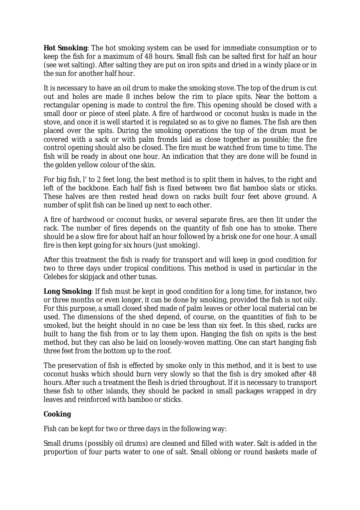**Hot Smoking**: The hot smoking system can be used for immediate consumption or to keep the fish for a maximum of 48 hours. Small fish can be salted first for half an hour (see wet salting). After salting they are put on iron spits and dried in a windy place or in the sun for another half hour.

It is necessary to have an oil drum to make the smoking stove. The top of the drum is cut out and holes are made 8 inches below the rim to place spits. Near the bottom a rectangular opening is made to control the fire. This opening should be closed with a small door or piece of steel plate. A fire of hardwood or coconut husks is made in the stove, and once it is well started it is regulated so as to give no flames. The fish are then placed over the spits. During the smoking operations the top of the drum must be covered with a sack or with palm fronds laid as close together as possible; the fire control opening should also be closed. The fire must be watched from time to time. The fish will be ready in about one hour. An indication that they are done will be found in the golden yellow colour of the skin.

For big fish, l' to 2 feet long, the best method is to split them in halves, to the right and left of the backbone. Each half fish is fixed between two flat bamboo slats or sticks. These halves are then rested head down on racks built four feet above ground. A number of split fish can be lined up next to each other.

A fire of hardwood or coconut husks, or several separate fires, are then lit under the rack. The number of fires depends on the quantity of fish one has to smoke. There should be a slow fire for about half an hour followed by a brisk one for one hour. A small fire is then kept going for six hours (just smoking).

After this treatment the fish is ready for transport and will keep in good condition for two to three days under tropical conditions. This method is used in particular in the Celebes for skipjack and other tunas.

**Long Smoking**: If fish must be kept in good condition for a long time, for instance, two or three months or even longer, it can be done by smoking, provided the fish is not oily. For this purpose, a small closed shed made of palm leaves or other local material can be used. The dimensions of the shed depend, of course, on the quantities of fish to be smoked, but the height should in no case be less than six feet. In this shed, racks are built to hang the fish from or to lay them upon. Hanging the fish on spits is the best method, but they can also be laid on loosely-woven matting. One can start hanging fish three feet from the bottom up to the roof.

The preservation of fish is effected by smoke only in this method, and it is best to use coconut husks which should burn very slowly so that the fish is dry smoked after 48 hours. After such a treatment the flesh is dried throughout. If it is necessary to transport these fish to other islands, they should be packed in small packages wrapped in dry leaves and reinforced with bamboo or sticks.

#### **Cooking**

Fish can be kept for two or three days in the following way:

Small drums (possibly oil drums) are cleaned and filled with water. Salt is added in the proportion of four parts water to one of salt. Small oblong or round baskets made of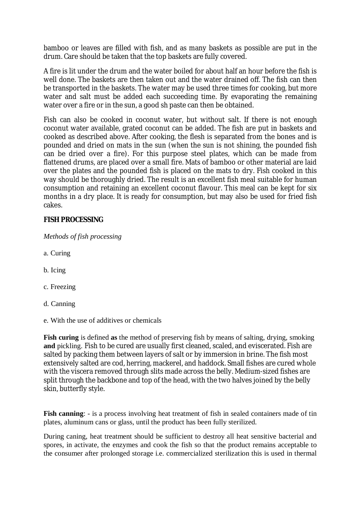bamboo or leaves are filled with fish, and as many baskets as possible are put in the drum. Care should be taken that the top baskets are fully covered.

A fire is lit under the drum and the water boiled for about half an hour before the fish is well done. The baskets are then taken out and the water drained off. The fish can then be transported in the baskets. The water may be used three times for cooking, but more water and salt must be added each succeeding time. By evaporating the remaining water over a fire or in the sun, a good sh paste can then be obtained.

Fish can also be cooked in coconut water, but without salt. If there is not enough coconut water available, grated coconut can be added. The fish are put in baskets and cooked as described above. After cooking, the flesh is separated from the bones and is pounded and dried on mats in the sun (when the sun is not shining, the pounded fish can be dried over a fire). For this purpose steel plates, which can be made from flattened drums, are placed over a small fire. Mats of bamboo or other material are laid over the plates and the pounded fish is placed on the mats to dry. Fish cooked in this way should be thoroughly dried. The result is an excellent fish meal suitable for human consumption and retaining an excellent coconut flavour. This meal can be kept for six months in a dry place. It is ready for consumption, but may also be used for fried fish cakes.

#### **FISH PROCESSING**

*Methods of fish processing*

- a. Curing
- b. Icing
- c. Freezing
- d. Canning
- e. With the use of additives or chemicals

**Fish curing** is defined **as** the method of preserving fish by means of salting, drying, smoking **and** pickling. Fish to be cured are usually first cleaned, scaled, and eviscerated. Fish are salted by packing them between layers of salt or by immersion in brine. The fish most extensively salted are cod, herring, mackerel, and haddock. Small fishes are cured whole with the viscera removed through slits made across the belly. Medium-sized fishes are split through the backbone and top of the head, with the two halves joined by the belly skin, butterfly style.

**Fish canning**: - is a process involving heat treatment of fish in sealed containers made of tin plates, aluminum cans or glass, until the product has been fully sterilized.

During caning, heat treatment should be sufficient to destroy all heat sensitive bacterial and spores, in activate, the enzymes and cook the fish so that the product remains acceptable to the consumer after prolonged storage i.e. commercialized sterilization this is used in thermal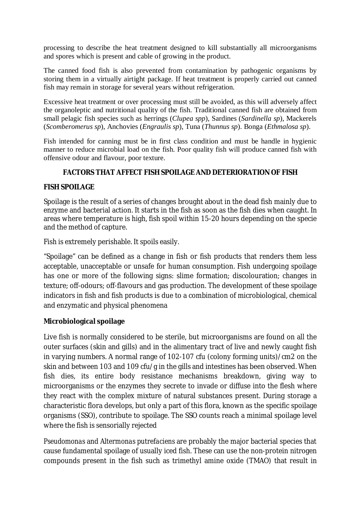processing to describe the heat treatment designed to kill substantially all microorganisms and spores which is present and cable of growing in the product.

The canned food fish is also prevented from contamination by pathogenic organisms by storing them in a virtually airtight package. If heat treatment is properly carried out canned fish may remain in storage for several years without refrigeration.

Excessive heat treatment or over processing must still be avoided, as this will adversely affect the organoleptic and nutritional quality of the fish. Traditional canned fish are obtained from small pelagic fish species such as herrings (*Clupea spp*), Sardines (*Sardinella sp*), Mackerels (*Scomberomerus sp*), Anchovies (*Engraulis sp*), Tuna (*Thunnus sp*). Bonga (*Ethmalosa sp*).

Fish intended for canning must be in first class condition and must be handle in hygienic manner to reduce microbial load on the fish. Poor quality fish will produce canned fish with offensive odour and flavour, poor texture.

## **FACTORS THAT AFFECT FISH SPOILAGE AND DETERIORATION OF FISH**

## **FISH SPOILAGE**

Spoilage is the result of a series of changes brought about in the dead fish mainly due to enzyme and bacterial action. It starts in the fish as soon as the fish dies when caught. In areas where temperature is high, fish spoil within 15-20 hours depending on the specie and the method of capture.

Fish is extremely perishable. It spoils easily.

"Spoilage" can be defined as a change in fish or fish products that renders them less acceptable, unacceptable or unsafe for human consumption. Fish undergoing spoilage has one or more of the following signs: slime formation; discolouration; changes in texture; off-odours; off-flavours and gas production. The development of these spoilage indicators in fish and fish products is due to a combination of microbiological, chemical and enzymatic and physical phenomena

## **Microbiological spoilage**

Live fish is normally considered to be sterile, but microorganisms are found on all the outer surfaces (skin and gills) and in the alimentary tract of live and newly caught fish in varying numbers. A normal range of 102-107 cfu (colony forming units)/cm2 on the skin and between 103 and 109 cfu/g in the gills and intestines has been observed. When fish dies, its entire body resistance mechanisms breakdown, giving way to microorganisms or the enzymes they secrete to invade or diffuse into the flesh where they react with the complex mixture of natural substances present. During storage a characteristic flora develops, but only a part of this flora, known as the specific spoilage organisms (SSO), contribute to spoilage. The SSO counts reach a minimal spoilage level where the fish is sensorially rejected

*Pseudomonas* and *Altermonas putrefaciens* are probably the major bacterial species that cause fundamental spoilage of usually iced fish. These can use the non-protein nitrogen compounds present in the fish such as trimethyl amine oxide (TMAO) that result in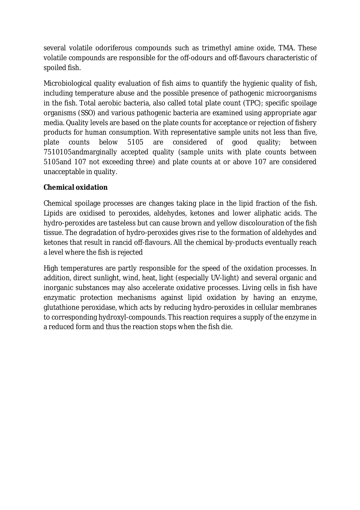several volatile odoriferous compounds such as trimethyl amine oxide, TMA. These volatile compounds are responsible for the off-odours and off-flavours characteristic of spoiled fish.

Microbiological quality evaluation of fish aims to quantify the hygienic quality of fish, including temperature abuse and the possible presence of pathogenic microorganisms in the fish. Total aerobic bacteria, also called total plate count (TPC); specific spoilage organisms (SSO) and various pathogenic bacteria are examined using appropriate agar media. Quality levels are based on the plate counts for acceptance or rejection of fishery products for human consumption. With representative sample units not less than five, plate counts below 5105 are considered of good quality; between 7510105andmarginally accepted quality (sample units with plate counts between 5105and 107 not exceeding three) and plate counts at or above 107 are considered unacceptable in quality.

## **Chemical oxidation**

Chemical spoilage processes are changes taking place in the lipid fraction of the fish. Lipids are oxidised to peroxides, aldehydes, ketones and lower aliphatic acids. The hydro-peroxides are tasteless but can cause brown and yellow discolouration of the fish tissue. The degradation of hydro-peroxides gives rise to the formation of aldehydes and ketones that result in rancid off-flavours. All the chemical by-products eventually reach a level where the fish is rejected

High temperatures are partly responsible for the speed of the oxidation processes. In addition, direct sunlight, wind, heat, light (especially UV-light) and several organic and inorganic substances may also accelerate oxidative processes. Living cells in fish have enzymatic protection mechanisms against lipid oxidation by having an enzyme, glutathione peroxidase, which acts by reducing hydro-peroxides in cellular membranes to corresponding hydroxyl-compounds. This reaction requires a supply of the enzyme in a reduced form and thus the reaction stops when the fish die.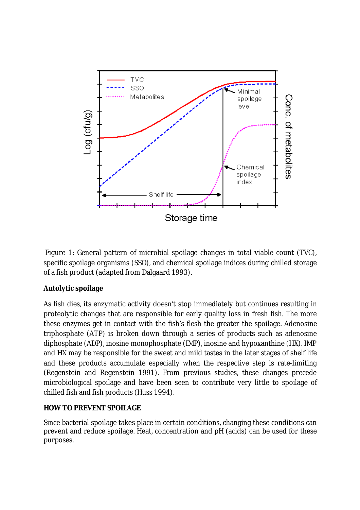

Figure 1: General pattern of microbial spoilage changes in total viable count (TVC), specific spoilage organisms (SSO), and chemical spoilage indices during chilled storage of a fish product (adapted from Dalgaard 1993).

# **Autolytic spoilage**

As fish dies, its enzymatic activity doesn't stop immediately but continues resulting in proteolytic changes that are responsible for early quality loss in fresh fish. The more these enzymes get in contact with the fish's flesh the greater the spoilage. Adenosine triphosphate (ATP) is broken down through a series of products such as adenosine diphosphate (ADP), inosine monophosphate (IMP), inosine and hypoxanthine (HX). IMP and HX may be responsible for the sweet and mild tastes in the later stages of shelf life and these products accumulate especially when the respective step is rate-limiting (Regenstein and Regenstein 1991). From previous studies, these changes precede microbiological spoilage and have been seen to contribute very little to spoilage of chilled fish and fish products (Huss 1994).

# **HOW TO PREVENT SPOILAGE**

Since bacterial spoilage takes place in certain conditions, changing these conditions can prevent and reduce spoilage. Heat, concentration and pH (acids) can be used for these purposes.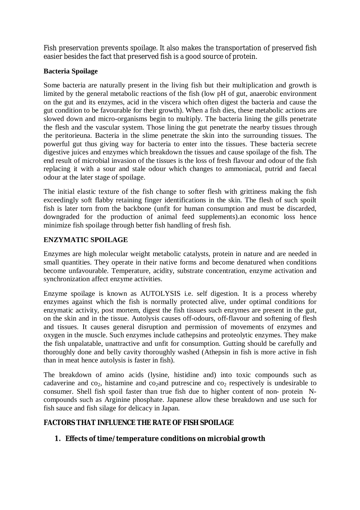Fish preservation prevents spoilage. It also makes the transportation of preserved fish easier besides the fact that preserved fish is a good source of protein.

#### **Bacteria Spoilage**

Some bacteria are naturally present in the living fish but their multiplication and growth is limited by the general metabolic reactions of the fish (low pH of gut, anaerobic environment on the gut and its enzymes, acid in the viscera which often digest the bacteria and cause the gut condition to be favourable for their growth). When a fish dies, these metabolic actions are slowed down and micro-organisms begin to multiply. The bacteria lining the gills penetrate the flesh and the vascular system. Those lining the gut penetrate the nearby tissues through the peritorieuna. Bacteria in the slime penetrate the skin into the surrounding tissues. The powerful gut thus giving way for bacteria to enter into the tissues. These bacteria secrete digestive juices and enzymes which breakdown the tissues and cause spoilage of the fish. The end result of microbial invasion of the tissues is the loss of fresh flavour and odour of the fish replacing it with a sour and stale odour which changes to ammoniacal, putrid and faecal odour at the later stage of spoilage.

The initial elastic texture of the fish change to softer flesh with grittiness making the fish exceedingly soft flabby retaining finger identifications in the skin. The flesh of such spoilt fish is later torn from the backbone (unfit for human consumption and must be discarded, downgraded for the production of animal feed supplements).an economic loss hence minimize fish spoilage through better fish handling of fresh fish.

#### **ENZYMATIC SPOILAGE**

Enzymes are high molecular weight metabolic catalysts, protein in nature and are needed in small quantities. They operate in their native forms and become denatured when conditions become unfavourable. Temperature, acidity, substrate concentration, enzyme activation and synchronization affect enzyme activities.

Enzyme spoilage is known as AUTOLYSIS i.e. self digestion. It is a process whereby enzymes against which the fish is normally protected alive, under optimal conditions for enzymatic activity, post mortem, digest the fish tissues such enzymes are present in the gut, on the skin and in the tissue. Autolysis causes off-odours, off-flavour and softening of flesh and tissues. It causes general disruption and permission of movements of enzymes and oxygen in the muscle. Such enzymes include cathepsins and proteolytic enzymes. They make the fish unpalatable, unattractive and unfit for consumption. Gutting should be carefully and thoroughly done and belly cavity thoroughly washed (Athepsin in fish is more active in fish than in meat hence autolysis is faster in fish).

The breakdown of amino acids (lysine, histidine and) into toxic compounds such as cadaverine and  $\cos$ , histamine and  $\cos$ <sub>2</sub> and putrescine and  $\cos$ <sub>2</sub> respectively is undesirable to consumer. Shell fish spoil faster than true fish due to higher content of non- protein Ncompounds such as Arginine phosphate. Japanese allow these breakdown and use such for fish sauce and fish silage for delicacy in Japan.

## **FACTORS THAT INFLUENCE THE RATE OF FISH SPOILAGE**

## **1. Effects of time/temperature conditions on microbial growth**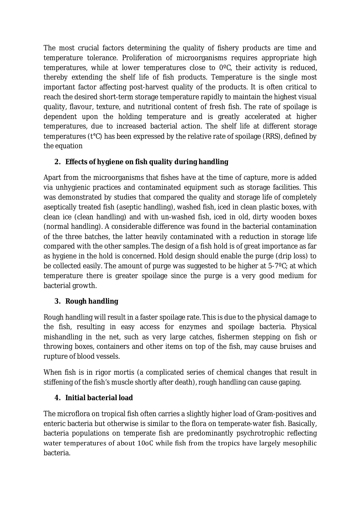The most crucial factors determining the quality of fishery products are time and temperature tolerance. Proliferation of microorganisms requires appropriate high temperatures, while at lower temperatures close to 0ºC, their activity is reduced, thereby extending the shelf life of fish products. Temperature is the single most important factor affecting post-harvest quality of the products. It is often critical to reach the desired short-term storage temperature rapidly to maintain the highest visual quality, flavour, texture, and nutritional content of fresh fish. The rate of spoilage is dependent upon the holding temperature and is greatly accelerated at higher temperatures, due to increased bacterial action. The shelf life at different storage temperatures (t°C) has been expressed by the relative rate of spoilage (RRS), defined by the equation

# **2. Effects of hygiene on fish quality during handling**

Apart from the microorganisms that fishes have at the time of capture, more is added via unhygienic practices and contaminated equipment such as storage facilities. This was demonstrated by studies that compared the quality and storage life of completely aseptically treated fish (aseptic handling), washed fish, iced in clean plastic boxes, with clean ice (clean handling) and with un-washed fish, iced in old, dirty wooden boxes (normal handling). A considerable difference was found in the bacterial contamination of the three batches, the latter heavily contaminated with a reduction in storage life compared with the other samples. The design of a fish hold is of great importance as far as hygiene in the hold is concerned. Hold design should enable the purge (drip loss) to be collected easily. The amount of purge was suggested to be higher at 5-7ºC; at which temperature there is greater spoilage since the purge is a very good medium for bacterial growth.

# **3. Rough handling**

Rough handling will result in a faster spoilage rate. This is due to the physical damage to the fish, resulting in easy access for enzymes and spoilage bacteria. Physical mishandling in the net, such as very large catches, fishermen stepping on fish or throwing boxes, containers and other items on top of the fish, may cause bruises and rupture of blood vessels.

When fish is in rigor mortis (a complicated series of chemical changes that result in stiffening of the fish's muscle shortly after death), rough handling can cause gaping.

# **4. Initial bacterial load**

The microflora on tropical fish often carries a slightly higher load of Gram-positives and enteric bacteria but otherwise is similar to the flora on temperate-water fish. Basically, bacteria populations on temperate fish are predominantly psychrotrophic reflecting water temperatures of about 10oC while fish from the tropics have largely mesophilic bacteria.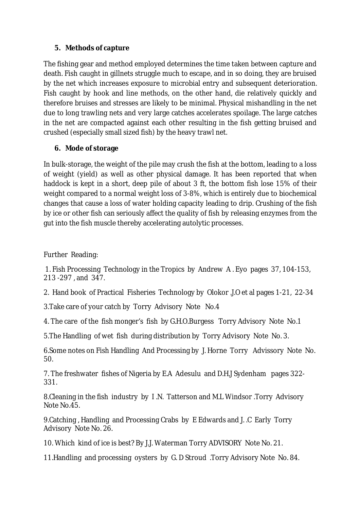## **5. Methods of capture**

The fishing gear and method employed determines the time taken between capture and death. Fish caught in gillnets struggle much to escape, and in so doing, they are bruised by the net which increases exposure to microbial entry and subsequent deterioration. Fish caught by hook and line methods, on the other hand, die relatively quickly and therefore bruises and stresses are likely to be minimal. Physical mishandling in the net due to long trawling nets and very large catches accelerates spoilage. The large catches in the net are compacted against each other resulting in the fish getting bruised and crushed (especially small sized fish) by the heavy trawl net.

# **6. Mode of storage**

In bulk-storage, the weight of the pile may crush the fish at the bottom, leading to a loss of weight (yield) as well as other physical damage. It has been reported that when haddock is kept in a short, deep pile of about 3 ft, the bottom fish lose 15% of their weight compared to a normal weight loss of 3-8%, which is entirely due to biochemical changes that cause a loss of water holding capacity leading to drip. Crushing of the fish by ice or other fish can seriously affect the quality of fish by releasing enzymes from the gut into the fish muscle thereby accelerating autolytic processes.

Further Reading:

1. Fish Processing Technology in the Tropics by Andrew A . Eyo pages 37, 104-153, 213 -297 , and 347.

2. Hand book of Practical Fisheries Technology by Olokor .J.O et al pages 1-21, 22-34

3.Take care of your catch by Torry Advisory Note No.4

4. The care of the fish monger's fish by G.H.O.Burgess Torry Advisory Note No.1

5.The Handling of wet fish during distribution by Torry Advisory Note No. 3.

6.Some notes on Fish Handling And Processing by J. Horne Torry Advissory Note No. 50.

7. The freshwater fishes of Nigeria by E.A Adesulu and D.H.J Sydenham pages 322- 331.

8.Cleaning in the fish industry by I .N. Tatterson and M.L Windsor .Torry Advisory Note No.45.

9.Catching , Handling and Processing Crabs by E Edwards and J. .C Early Torry Advisory Note No. 26.

10. Which kind of ice is best? By J.J. Waterman Torry ADVISORY Note No. 21.

11.Handling and processing oysters by G. D Stroud .Torry Advisory Note No. 84.